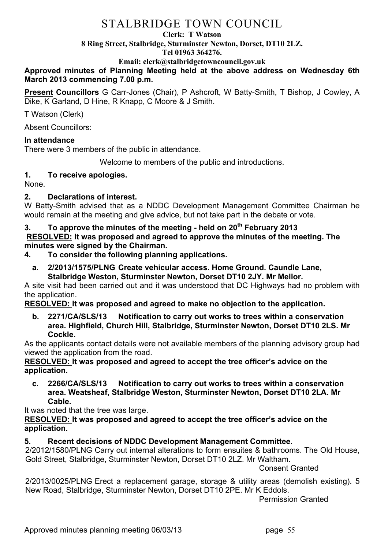# STALBRIDGE TOWN COUNCIL

#### **Clerk: T Watson**

**8 Ring Street, Stalbridge, Sturminster Newton, Dorset, DT10 2LZ.**

#### **Tel 01963 364276.**

**Email: clerk@stalbridgetowncouncil.gov.uk**

#### **Approved minutes of Planning Meeting held at the above address on Wednesday 6th March 2013 commencing 7.00 p.m.**

**Present Councillors** G Carr-Jones (Chair), P Ashcroft, W Batty-Smith, T Bishop, J Cowley, A Dike, K Garland, D Hine, R Knapp, C Moore & J Smith.

T Watson (Clerk)

Absent Councillors:

## **In attendance**

There were 3 members of the public in attendance.

Welcome to members of the public and introductions.

## **1. To receive apologies.**

None.

## **2. Declarations of interest.**

W Batty-Smith advised that as a NDDC Development Management Committee Chairman he would remain at the meeting and give advice, but not take part in the debate or vote.

## **3. To approve the minutes of the meeting - held on 20th February 2013**

**RESOLVED: It was proposed and agreed to approve the minutes of the meeting. The minutes were signed by the Chairman.**

- **4. To consider the following planning applications.**
	- **a. 2/2013/1575/PLNG Create vehicular access. Home Ground. Caundle Lane, Stalbridge Weston, Sturminster Newton, Dorset DT10 2JY. Mr Mellor.**

A site visit had been carried out and it was understood that DC Highways had no problem with the application.

## **RESOLVED: It was proposed and agreed to make no objection to the application.**

**b. 2271/CA/SLS/13 Notification to carry out works to trees within a conservation area. Highfield, Church Hill, Stalbridge, Sturminster Newton, Dorset DT10 2LS. Mr Cockle.**

As the applicants contact details were not available members of the planning advisory group had viewed the application from the road.

**RESOLVED: It was proposed and agreed to accept the tree officer's advice on the application.**

**c. 2266/CA/SLS/13 Notification to carry out works to trees within a conservation area. Weatsheaf, Stalbridge Weston, Sturminster Newton, Dorset DT10 2LA. Mr Cable.**

It was noted that the tree was large.

**RESOLVED: It was proposed and agreed to accept the tree officer's advice on the application.**

## **5. Recent decisions of NDDC Development Management Committee.**

2/2012/1580/PLNG Carry out internal alterations to form ensuites & bathrooms. The Old House, Gold Street, Stalbridge, Sturminster Newton, Dorset DT10 2LZ. Mr Waltham.

Consent Granted

2/2013/0025/PLNG Erect a replacement garage, storage & utility areas (demolish existing). 5 New Road, Stalbridge, Sturminster Newton, Dorset DT10 2PE. Mr K Eddols.

Permission Granted